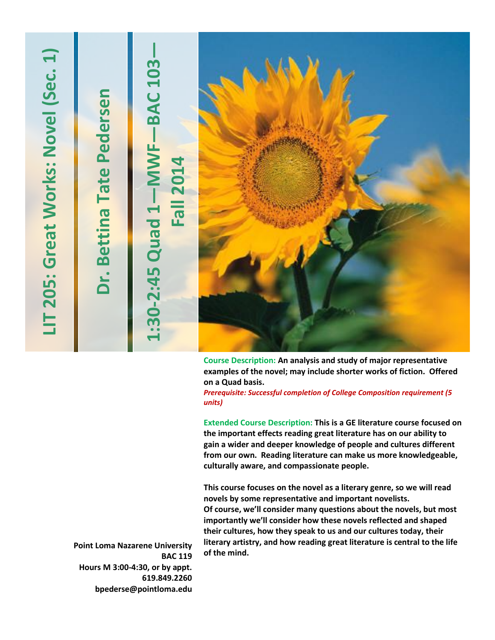| $\overline{\phantom{0}}$<br>Sec.<br>Great Works: Novel<br>LIT 205: | Dr. Bettina Tate Pedersen | <b>BAC 103</b><br>MWF-<br><b>Fall 2014</b><br>1:30-2:45 Quad |                                                                                                                                           |
|--------------------------------------------------------------------|---------------------------|--------------------------------------------------------------|-------------------------------------------------------------------------------------------------------------------------------------------|
|                                                                    |                           |                                                              | Course Description: An analysis and study of major representative<br>ovamples of the novely may include shorter works of fiction. Offered |

**examples of the novel; may include shorter works of fiction. Offered on a Quad basis.**

*Prerequisite: Successful completion of College Composition requirement (5 units)*

**Extended Course Description: This is a GE literature course focused on the important effects reading great literature has on our ability to gain a wider and deeper knowledge of people and cultures different from our own. Reading literature can make us more knowledgeable, culturally aware, and compassionate people.** 

**This course focuses on the novel as a literary genre, so we will read novels by some representative and important novelists. Of course, we'll consider many questions about the novels, but most importantly we'll consider how these novels reflected and shaped their cultures, how they speak to us and our cultures today, their literary artistry, and how reading great literature is central to the life of the mind.**

**Point Loma Nazarene University BAC 119 Hours M 3:00-4:30, or by appt. 619.849.2260 bpederse@pointloma.edu**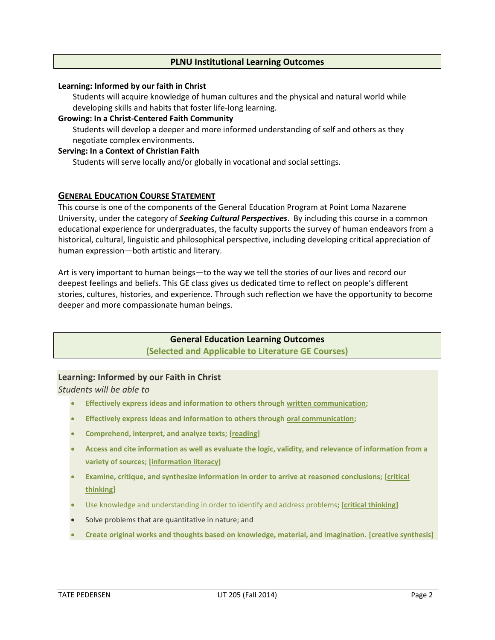## **PLNU Institutional Learning Outcomes**

#### **Learning: Informed by our faith in Christ**

Students will acquire knowledge of human cultures and the physical and natural world while developing skills and habits that foster life-long learning.

#### **Growing: In a Christ-Centered Faith Community**

Students will develop a deeper and more informed understanding of self and others as they negotiate complex environments.

#### **Serving: In a Context of Christian Faith**

Students will serve locally and/or globally in vocational and social settings.

## **GENERAL EDUCATION COURSE STATEMENT**

This course is one of the components of the General Education Program at Point Loma Nazarene University, under the category of *Seeking Cultural Perspectives*. By including this course in a common educational experience for undergraduates, the faculty supports the survey of human endeavors from a historical, cultural, linguistic and philosophical perspective, including developing critical appreciation of human expression—both artistic and literary.

Art is very important to human beings—to the way we tell the stories of our lives and record our deepest feelings and beliefs. This GE class gives us dedicated time to reflect on people's different stories, cultures, histories, and experience. Through such reflection we have the opportunity to become deeper and more compassionate human beings.

## **General Education Learning Outcomes (Selected and Applicable to Literature GE Courses)**

## **Learning: Informed by our Faith in Christ**

*Students will be able to*

- **Effectively express ideas and information to others through written communication;**
- **Effectively express ideas and information to others through oral communication;**
- **Comprehend, interpret, and analyze texts; [reading]**
- **Access and cite information as well as evaluate the logic, validity, and relevance of information from a variety of sources; [information literacy]**
- **Examine, critique, and synthesize information in order to arrive at reasoned conclusions; [critical thinking]**
- Use knowledge and understanding in order to identify and address problems**; [critical thinking]**
- Solve problems that are quantitative in nature; and
- **Create original works and thoughts based on knowledge, material, and imagination. [creative synthesis]**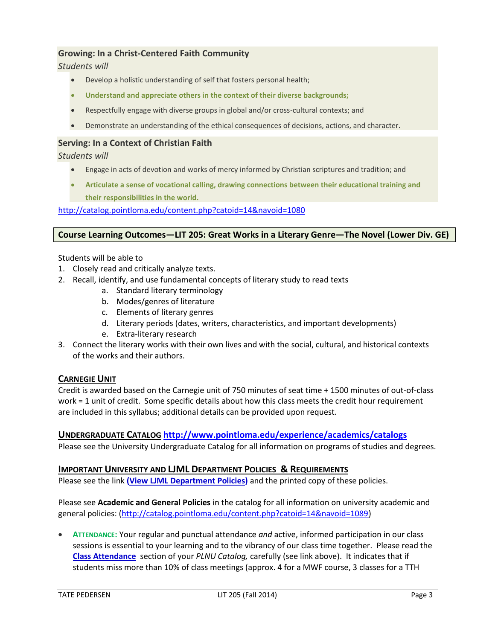## **Growing: In a Christ-Centered Faith Community**

*Students will*

- Develop a holistic understanding of self that fosters personal health;
- **Understand and appreciate others in the context of their diverse backgrounds;**
- Respectfully engage with diverse groups in global and/or cross-cultural contexts; and
- Demonstrate an understanding of the ethical consequences of decisions, actions, and character.

## **Serving: In a Context of Christian Faith**

*Students will*

- Engage in acts of devotion and works of mercy informed by Christian scriptures and tradition; and
- **Articulate a sense of vocational calling, drawing connections between their educational training and their responsibilities in the world.**

<http://catalog.pointloma.edu/content.php?catoid=14&navoid=1080>

#### **Course Learning Outcomes—LIT 205: Great Works in a Literary Genre—The Novel (Lower Div. GE)**

Students will be able to

- 1. Closely read and critically analyze texts.
- 2. Recall, identify, and use fundamental concepts of literary study to read texts
	- a. Standard literary terminology
	- b. Modes/genres of literature
	- c. Elements of literary genres
	- d. Literary periods (dates, writers, characteristics, and important developments)
	- e. Extra-literary research
- 3. Connect the literary works with their own lives and with the social, cultural, and historical contexts of the works and their authors.

## **CARNEGIE UNIT**

Credit is awarded based on the Carnegie unit of 750 minutes of seat time + 1500 minutes of out-of-class work = 1 unit of credit. Some specific details about how this class meets the credit hour requirement are included in this syllabus; additional details can be provided upon request.

## **UNDERGRADUATE CATALOG <http://www.pointloma.edu/experience/academics/catalogs>**

Please see the University Undergraduate Catalog for all information on programs of studies and degrees.

## **IMPORTANT UNIVERSITY AND LJML DEPARTMENT POLICIES & REQUIREMENTS**

Please see the link **(View LJML [Department](http://www.pointloma.edu/sites/default/files/filemanager/Literature_Journalism__Modern_Languages/LJML_Department_Syllabus_Statments_final_1.docx) Policies)** and the printed copy of these policies.

Please see **Academic and General Policies** in the catalog for all information on university academic and general policies: [\(http://catalog.pointloma.edu/content.php?catoid=14&navoid=1089\)](http://catalog.pointloma.edu/content.php?catoid=14&navoid=1089)

 **ATTENDANCE:** Your regular and punctual attendance *and* active, informed participation in our class sessions is essential to your learning and to the vibrancy of our class time together. Please read the **[Class Attendance](http://catalog.pointloma.edu/content.php?catoid=14&navoid=1089#Class_Attendance)** section of your *PLNU Catalog,* carefully (see link above). It indicates that if students miss more than 10% of class meetings (approx. 4 for a MWF course, 3 classes for a TTH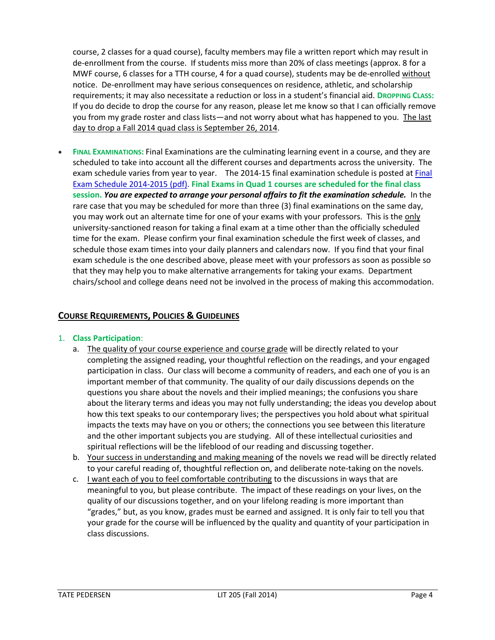course, 2 classes for a quad course), faculty members may file a written report which may result in de-enrollment from the course. If students miss more than 20% of class meetings (approx. 8 for a MWF course, 6 classes for a TTH course, 4 for a quad course), students may be de-enrolled without notice. De-enrollment may have serious consequences on residence, athletic, and scholarship requirements; it may also necessitate a reduction or loss in a student's financial aid. **DROPPING CLASS:** If you do decide to drop the course for any reason, please let me know so that I can officially remove you from my grade roster and class lists—and not worry about what has happened to you. The last day to drop a Fall 2014 quad class is September 26, 2014.

 **FINAL EXAMINATIONS:** Final Examinations are the culminating learning event in a course, and they are scheduled to take into account all the different courses and departments across the university. The exam schedule varies from year to year. The 2014-15 final examination schedule is posted at [Final](http://www.pointloma.edu/sites/default/files/filemanager/Academic_Affairs/Calendars/Final_Exam_Schedule_2014-2015.pdf) Exam Schedule [2014-2015](http://www.pointloma.edu/sites/default/files/filemanager/Academic_Affairs/Calendars/Final_Exam_Schedule_2014-2015.pdf) (pdf). **Final Exams in Quad 1 courses are scheduled for the final class session.** *You are expected to arrange your personal affairs to fit the examination schedule.* In the rare case that you may be scheduled for more than three (3) final examinations on the same day, you may work out an alternate time for one of your exams with your professors. This is the only university-sanctioned reason for taking a final exam at a time other than the officially scheduled time for the exam. Please confirm your final examination schedule the first week of classes, and schedule those exam times into your daily planners and calendars now. If you find that your final exam schedule is the one described above, please meet with your professors as soon as possible so that they may help you to make alternative arrangements for taking your exams. Department chairs/school and college deans need not be involved in the process of making this accommodation.

## **COURSE REQUIREMENTS, POLICIES & GUIDELINES**

## 1. **Class Participation**:

- a. The quality of your course experience and course grade will be directly related to your completing the assigned reading, your thoughtful reflection on the readings, and your engaged participation in class. Our class will become a community of readers, and each one of you is an important member of that community. The quality of our daily discussions depends on the questions you share about the novels and their implied meanings; the confusions you share about the literary terms and ideas you may not fully understanding; the ideas you develop about how this text speaks to our contemporary lives; the perspectives you hold about what spiritual impacts the texts may have on you or others; the connections you see between this literature and the other important subjects you are studying. All of these intellectual curiosities and spiritual reflections will be the lifeblood of our reading and discussing together.
- b. Your success in understanding and making meaning of the novels we read will be directly related to your careful reading of, thoughtful reflection on, and deliberate note-taking on the novels.
- c. I want each of you to feel comfortable contributing to the discussions in ways that are meaningful to you, but please contribute. The impact of these readings on your lives, on the quality of our discussions together, and on your lifelong reading is more important than "grades," but, as you know, grades must be earned and assigned. It is only fair to tell you that your grade for the course will be influenced by the quality and quantity of your participation in class discussions.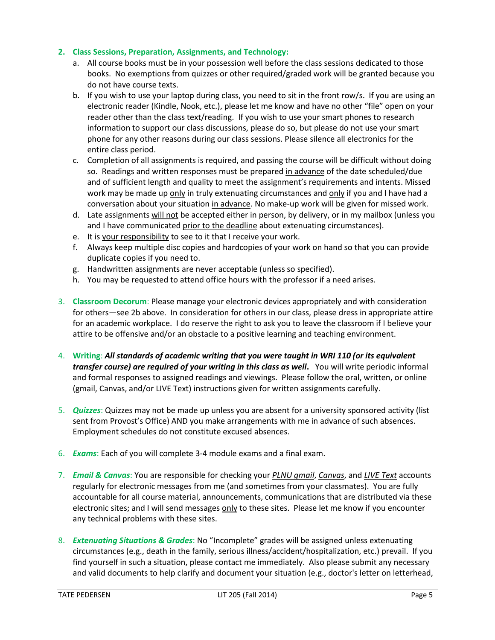## **2. Class Sessions, Preparation, Assignments, and Technology:**

- a. All course books must be in your possession well before the class sessions dedicated to those books. No exemptions from quizzes or other required/graded work will be granted because you do not have course texts.
- b. If you wish to use your laptop during class, you need to sit in the front row/s. If you are using an electronic reader (Kindle, Nook, etc.), please let me know and have no other "file" open on your reader other than the class text/reading. If you wish to use your smart phones to research information to support our class discussions, please do so, but please do not use your smart phone for any other reasons during our class sessions. Please silence all electronics for the entire class period.
- c. Completion of all assignments is required, and passing the course will be difficult without doing so. Readings and written responses must be prepared in advance of the date scheduled/due and of sufficient length and quality to meet the assignment's requirements and intents. Missed work may be made up only in truly extenuating circumstances and only if you and I have had a conversation about your situation in advance. No make-up work will be given for missed work.
- d. Late assignments will not be accepted either in person, by delivery, or in my mailbox (unless you and I have communicated prior to the deadline about extenuating circumstances).
- e. It is your responsibility to see to it that I receive your work.
- f. Always keep multiple disc copies and hardcopies of your work on hand so that you can provide duplicate copies if you need to.
- g. Handwritten assignments are never acceptable (unless so specified).
- h. You may be requested to attend office hours with the professor if a need arises.
- 3. **Classroom Decorum**: Please manage your electronic devices appropriately and with consideration for others—see 2b above. In consideration for others in our class, please dress in appropriate attire for an academic workplace. I do reserve the right to ask you to leave the classroom if I believe your attire to be offensive and/or an obstacle to a positive learning and teaching environment.
- 4. **Writing**: *All standards of academic writing that you were taught in WRI 110 (or its equivalent transfer course) are required of your writing in this class as well***.** You will write periodic informal and formal responses to assigned readings and viewings. Please follow the oral, written, or online (gmail, Canvas, and/or LIVE Text) instructions given for written assignments carefully.
- 5. *Quizzes*: Quizzes may not be made up unless you are absent for a university sponsored activity (list sent from Provost's Office) AND you make arrangements with me in advance of such absences. Employment schedules do not constitute excused absences.
- 6. *Exams*: Each of you will complete 3-4 module exams and a final exam.
- 7. *Email & Canvas*: You are responsible for checking your *PLNU gmail*, *Canvas*, and *LIVE Text* accounts regularly for electronic messages from me (and sometimes from your classmates). You are fully accountable for all course material, announcements, communications that are distributed via these electronic sites; and I will send messages only to these sites. Please let me know if you encounter any technical problems with these sites.
- 8. *Extenuating Situations & Grades*: No "Incomplete" grades will be assigned unless extenuating circumstances (e.g., death in the family, serious illness/accident/hospitalization, etc.) prevail. If you find yourself in such a situation, please contact me immediately. Also please submit any necessary and valid documents to help clarify and document your situation (e.g., doctor's letter on letterhead,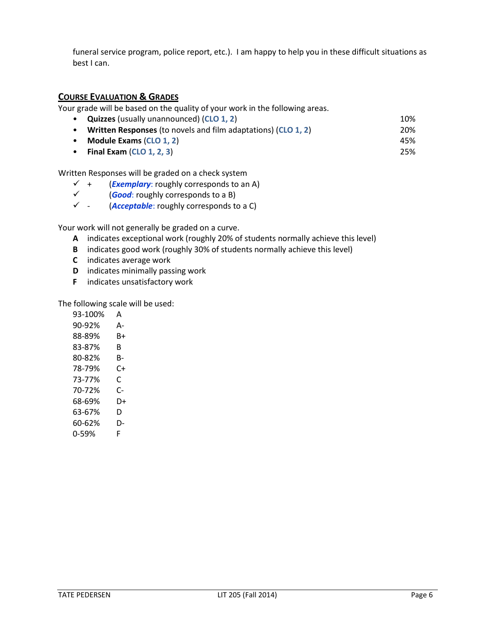funeral service program, police report, etc.). I am happy to help you in these difficult situations as best I can.

## **COURSE EVALUATION & GRADES**

Your grade will be based on the quality of your work in the following areas.

- **Quizzes** (usually unannounced) (**CLO 1, 2**) 10%
- **Written Responses** (to novels and film adaptations) (**CLO 1, 2**) 20%
- **Module Exams** (**CLO 1, 2**) 45%
- **Final Exam** (**CLO 1, 2, 3**) 25%

Written Responses will be graded on a check system

- $\checkmark$  + (*Exemplary*: roughly corresponds to an A)
- (*Good*: roughly corresponds to a B)
- (*Acceptable*: roughly corresponds to a C)

Your work will not generally be graded on a curve.

- **A** indicates exceptional work (roughly 20% of students normally achieve this level)
- **B** indicates good work (roughly 30% of students normally achieve this level)
- **C** indicates average work
- **D** indicates minimally passing work
- **F** indicates unsatisfactory work

The following scale will be used:

| A  |
|----|
| А- |
| B+ |
| R  |
| B- |
| C+ |
| C  |
| C- |
| D+ |
| D  |
| D- |
| F  |
|    |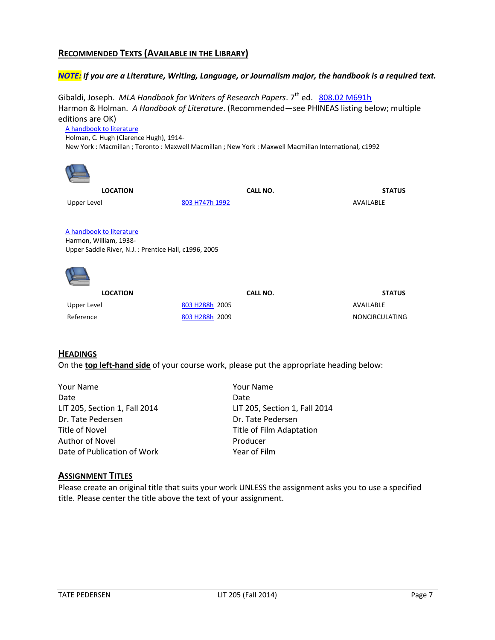## **RECOMMENDED TEXTS (AVAILABLE IN THE LIBRARY)**

## *NOTE: If you are a Literature, Writing, Language, or Journalism major, the handbook is a required text.*

Gibaldi, Joseph. *MLA Handbook for Writers of Research Papers*. 7<sup>th</sup> ed. [808.02 M691h](http://phineas.pointloma.edu/search~S0?/c808.02+M691h/c808.02+m691h/-3,-1,,E/browse) Harmon & Holman. *A Handbook of Literature*. (Recommended—see PHINEAS listing below; multiple editions are OK)

[A handbook to literature](http://phineas.pointloma.edu/search~S0?/thandbook+to+literature/thandbook+to+literature/1%2C1%2C2%2CB/frameset&FF=thandbook+to+literature&1%2C%2C2/indexsort=-) Holman, C. Hugh (Clarence Hugh), 1914- New York : Macmillan ; Toronto : Maxwell Macmillan ; New York : Maxwell Macmillan International, c1992



**LOCATION CALL NO. STATUS** 

Upper Level **[803 H747h 1992](http://phineas.pointloma.edu/search~S0?/c803+H747h+1992/c803+h747h+1992/-3,-1,,E/browse)** AVAILABLE

[A handbook to literature](http://phineas.pointloma.edu/search~S0?/thandbook+to+literature/thandbook+to+literature/1%2C1%2C2%2CB/frameset&FF=thandbook+to+literature&2%2C%2C2/indexsort=-)

Harmon, William, 1938- Upper Saddle River, N.J. : Prentice Hall, c1996, 2005



| <b>LOCATION</b> | CALL NO.                    | <b>STATUS</b>  |
|-----------------|-----------------------------|----------------|
| Upper Level     | 803 H288h 2005              | AVAILABLE      |
| Reference       | 803 H <sub>288</sub> h 2009 | NONCIRCULATING |

## **HEADINGS**

On the **top left-hand side** of your course work, please put the appropriate heading below:

Your Name Your Name Date **Date Date Date Date** LIT 205, Section 1, Fall 2014 LIT 205, Section 1, Fall 2014 Dr. Tate Pedersen **Dr. Tate Pedersen** Title of Novel **Title of Film Adaptation** Author of Novel and Producer Date of Publication of Work The Mean of Film

## **ASSIGNMENT TITLES**

Please create an original title that suits your work UNLESS the assignment asks you to use a specified title. Please center the title above the text of your assignment.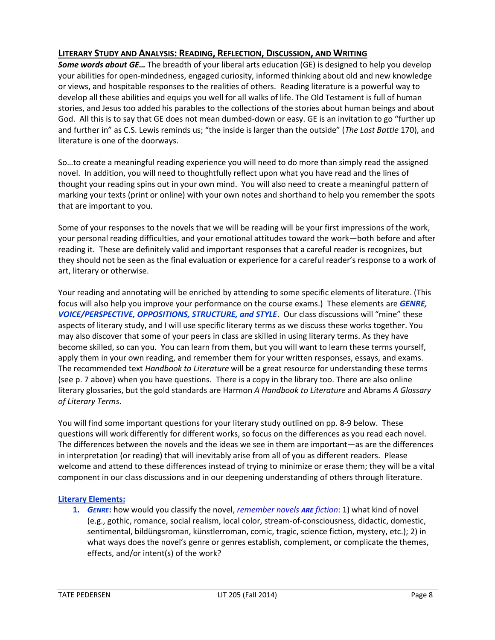# **LITERARY STUDY AND ANALYSIS: READING, REFLECTION, DISCUSSION, AND WRITING**

*Some words about GE…* The breadth of your liberal arts education (GE) is designed to help you develop your abilities for open-mindedness, engaged curiosity, informed thinking about old and new knowledge or views, and hospitable responses to the realities of others. Reading literature is a powerful way to develop all these abilities and equips you well for all walks of life. The Old Testament is full of human stories, and Jesus too added his parables to the collections of the stories about human beings and about God. All this is to say that GE does not mean dumbed-down or easy. GE is an invitation to go "further up and further in" as C.S. Lewis reminds us; "the inside is larger than the outside" (*The Last Battle* 170), and literature is one of the doorways.

So…to create a meaningful reading experience you will need to do more than simply read the assigned novel. In addition, you will need to thoughtfully reflect upon what you have read and the lines of thought your reading spins out in your own mind. You will also need to create a meaningful pattern of marking your texts (print or online) with your own notes and shorthand to help you remember the spots that are important to you.

Some of your responses to the novels that we will be reading will be your first impressions of the work, your personal reading difficulties, and your emotional attitudes toward the work—both before and after reading it. These are definitely valid and important responses that a careful reader is recognizes, but they should not be seen as the final evaluation or experience for a careful reader's response to a work of art, literary or otherwise.

Your reading and annotating will be enriched by attending to some specific elements of literature. (This focus will also help you improve your performance on the course exams.) These elements are *GENRE, VOICE/PERSPECTIVE, OPPOSITIONS, STRUCTURE, and STYLE*. Our class discussions will "mine" these aspects of literary study, and I will use specific literary terms as we discuss these works together. You may also discover that some of your peers in class are skilled in using literary terms. As they have become skilled, so can you. You can learn from them, but you will want to learn these terms yourself, apply them in your own reading, and remember them for your written responses, essays, and exams. The recommended text *Handbook to Literature* will be a great resource for understanding these terms (see p. 7 above) when you have questions. There is a copy in the library too. There are also online literary glossaries, but the gold standards are Harmon *A Handbook to Literature* and Abrams *A Glossary of Literary Terms*.

You will find some important questions for your literary study outlined on pp. 8-9 below. These questions will work differently for different works, so focus on the differences as you read each novel. The differences between the novels and the ideas we see in them are important—as are the differences in interpretation (or reading) that will inevitably arise from all of you as different readers. Please welcome and attend to these differences instead of trying to minimize or erase them; they will be a vital component in our class discussions and in our deepening understanding of others through literature.

## **Literary Elements:**

**1.** *GENRE***:** how would you classify the novel, *remember novels ARE fiction*: 1) what kind of novel (e.g., gothic, romance, social realism, local color, stream-of-consciousness, didactic, domestic, sentimental, bildüngsroman, künstlerroman, comic, tragic, science fiction, mystery, etc.); 2) in what ways does the novel's genre or genres establish, complement, or complicate the themes, effects, and/or intent(s) of the work?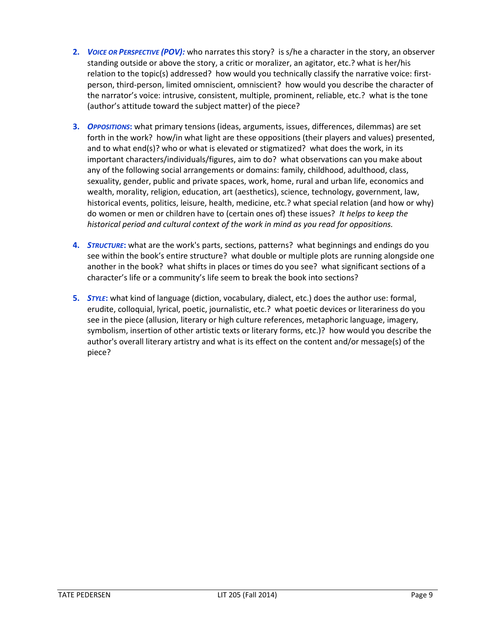- **2.** *VOICE OR PERSPECTIVE (POV):* who narrates this story? is s/he a character in the story, an observer standing outside or above the story, a critic or moralizer, an agitator, etc.? what is her/his relation to the topic(s) addressed? how would you technically classify the narrative voice: firstperson, third-person, limited omniscient, omniscient? how would you describe the character of the narrator's voice: intrusive, consistent, multiple, prominent, reliable, etc.? what is the tone (author's attitude toward the subject matter) of the piece?
- **3.** *OPPOSITIONS***:** what primary tensions (ideas, arguments, issues, differences, dilemmas) are set forth in the work? how/in what light are these oppositions (their players and values) presented, and to what end(s)? who or what is elevated or stigmatized? what does the work, in its important characters/individuals/figures, aim to do? what observations can you make about any of the following social arrangements or domains: family, childhood, adulthood, class, sexuality, gender, public and private spaces, work, home, rural and urban life, economics and wealth, morality, religion, education, art (aesthetics), science, technology, government, law, historical events, politics, leisure, health, medicine, etc.? what special relation (and how or why) do women or men or children have to (certain ones of) these issues? *It helps to keep the historical period and cultural context of the work in mind as you read for oppositions.*
- **4.** *STRUCTURE***:** what are the work's parts, sections, patterns? what beginnings and endings do you see within the book's entire structure? what double or multiple plots are running alongside one another in the book? what shifts in places or times do you see? what significant sections of a character's life or a community's life seem to break the book into sections?
- **5.** *STYLE***:** what kind of language (diction, vocabulary, dialect, etc.) does the author use: formal, erudite, colloquial, lyrical, poetic, journalistic, etc.? what poetic devices or literariness do you see in the piece (allusion, literary or high culture references, metaphoric language, imagery, symbolism, insertion of other artistic texts or literary forms, etc.)? how would you describe the author's overall literary artistry and what is its effect on the content and/or message(s) of the piece?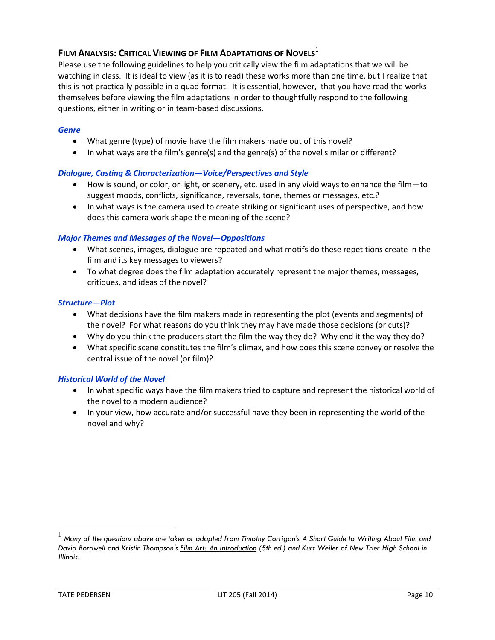# **FILM ANALYSIS: CRITICAL VIEWING OF FILM ADAPTATIONS OF NOVELS**<sup>1</sup>

Please use the following guidelines to help you critically view the film adaptations that we will be watching in class. It is ideal to view (as it is to read) these works more than one time, but I realize that this is not practically possible in a quad format. It is essential, however, that you have read the works themselves before viewing the film adaptations in order to thoughtfully respond to the following questions, either in writing or in team-based discussions.

## *Genre*

- What genre (type) of movie have the film makers made out of this novel?
- $\bullet$  In what ways are the film's genre(s) and the genre(s) of the novel similar or different?

## *Dialogue, Casting & Characterization—Voice/Perspectives and Style*

- How is sound, or color, or light, or scenery, etc. used in any vivid ways to enhance the film—to suggest moods, conflicts, significance, reversals, tone, themes or messages, etc.?
- In what ways is the camera used to create striking or significant uses of perspective, and how does this camera work shape the meaning of the scene?

## *Major Themes and Messages of the Novel—Oppositions*

- What scenes, images, dialogue are repeated and what motifs do these repetitions create in the film and its key messages to viewers?
- To what degree does the film adaptation accurately represent the major themes, messages, critiques, and ideas of the novel?

## *Structure—Plot*

- What decisions have the film makers made in representing the plot (events and segments) of the novel? For what reasons do you think they may have made those decisions (or cuts)?
- Why do you think the producers start the film the way they do? Why end it the way they do?
- What specific scene constitutes the film's climax, and how does this scene convey or resolve the central issue of the novel (or film)?

## *Historical World of the Novel*

- In what specific ways have the film makers tried to capture and represent the historical world of the novel to a modern audience?
- In your view, how accurate and/or successful have they been in representing the world of the novel and why?

l

<sup>1</sup> *Many of the questions above are taken or adapted from Timothy Corrigan's A Short Guide to Writing About Film and David Bordwell and Kristin Thompson's Film Art: An Introduction (5th ed.) and Kurt Weiler of New Trier High School in Illinois.*